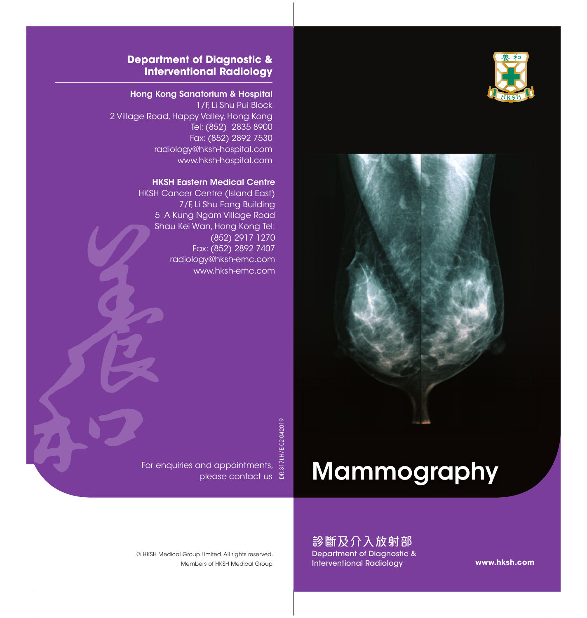



### **Department of Diagnostic & Interventional Radiology**

### Hong Kong Sanatorium & Hospital

1/F, Li Shu Pui Block 2 Village Road, Happy Valley, Hong Kong Tel: (852) 2835 8900 Fax: (852) 2892 7530 radiology@hksh-hospital.com www.hksh-hospital.com

#### HKSH Eastern Medical Centre

HKSH Cancer Centre (Island East) 7/F, Li Shu Fong Building 5 A Kung Ngam Village Road Shau Kei Wan, Hong Kong Tel: (852) 2917 1270 Fax: (852) 2892 7407 radiology@hksh-emc.com www.hksh-emc.com

DR.317I.H/E-02-042019

# Mammography

Members of HKSH Medical Group © HKSH Medical Group Limited. All rights reserved.

For enquiries and appointments,

please contact us

診斷及介入放射部 Department of Diagnostic & Interventional Radiology

**www.hksh.com**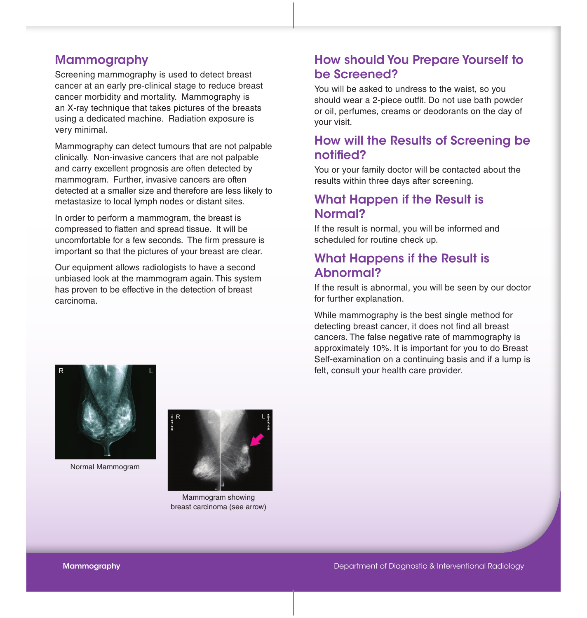## **Mammography**

Screening mammography is used to detect breast cancer at an early pre-clinical stage to reduce breast cancer morbidity and mortality. Mammography is an X-ray technique that takes pictures of the breasts using a dedicated machine. Radiation exposure is very minimal.

Mammography can detect tumours that are not palpable clinically. Non-invasive cancers that are not palpable and carry excellent prognosis are often detected by mammogram. Further, invasive cancers are often detected at a smaller size and therefore are less likely to metastasize to local lymph nodes or distant sites.

In order to perform a mammogram, the breast is compressed to flatten and spread tissue. It will be uncomfortable for a few seconds. The firm pressure is important so that the pictures of your breast are clear.

Our equipment allows radiologists to have a second unbiased look at the mammogram again. This system has proven to be effective in the detection of breast carcinoma.

# How should You Prepare Yourself to be Screened?

You will be asked to undress to the waist, so you should wear a 2-piece outfit. Do not use bath powder or oil, perfumes, creams or deodorants on the day of your visit.

# How will the Results of Screening be notified?

You or your family doctor will be contacted about the results within three days after screening.

# What Happen if the Result is Normal?

If the result is normal, you will be informed and scheduled for routine check up.

# What Happens if the Result is Abnormal?

If the result is abnormal, you will be seen by our doctor for further explanation.

While mammography is the best single method for detecting breast cancer, it does not find all breast cancers. The false negative rate of mammography is approximately 10%. It is important for you to do Breast Self-examination on a continuing basis and if a lump is felt, consult your health care provider.



Normal Mammogram



Mammogram showing breast carcinoma (see arrow)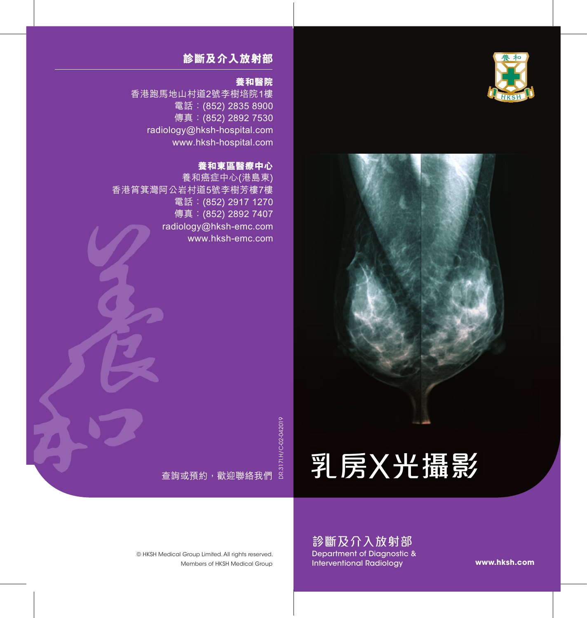



# 乳房x光攝影

診斷及介入放射部 Department of Diagnostic & Interventional Radiology

**www.hksh.com**

### **診斷及介入放射部**

### **養和醫院**

香港跑馬地山村道2號李樹培院1樓 電話:(852) 2835 8900 傳真:(852) 2892 7530 radiology@hksh-hospital.com www.hksh-hospital.com

### **養和東區醫療中心**

養和癌症中心(港島東) 香港筲箕灣阿公岩村道5號李樹芳樓7樓 電話:(852) 2917 1270 傳真:(852) 2892 7407 radiology@hksh-emc.com www.hksh-emc.com

DR.317I.H/C-02-042019

 $\begin{array}{cccc}\texttt{6} & \texttt{6} & \texttt{6} & \texttt{7} & \texttt{8} & \texttt{8} & \texttt{9} & \texttt{9} & \texttt{9} & \texttt{9} & \texttt{9} & \texttt{9} & \texttt{9} & \texttt{9} & \texttt{9} & \texttt{9} & \texttt{9} & \texttt{9} & \texttt{9} & \texttt{9} & \texttt{9} & \texttt{9} & \texttt{9} & \texttt{9} & \texttt{9} & \texttt{9} & \texttt{9} & \texttt{9} & \texttt{9} & \texttt{9} & \texttt{$ 

© HKSH Medical Group Limited. All rights reserved.

Members of HKSH Medical Group